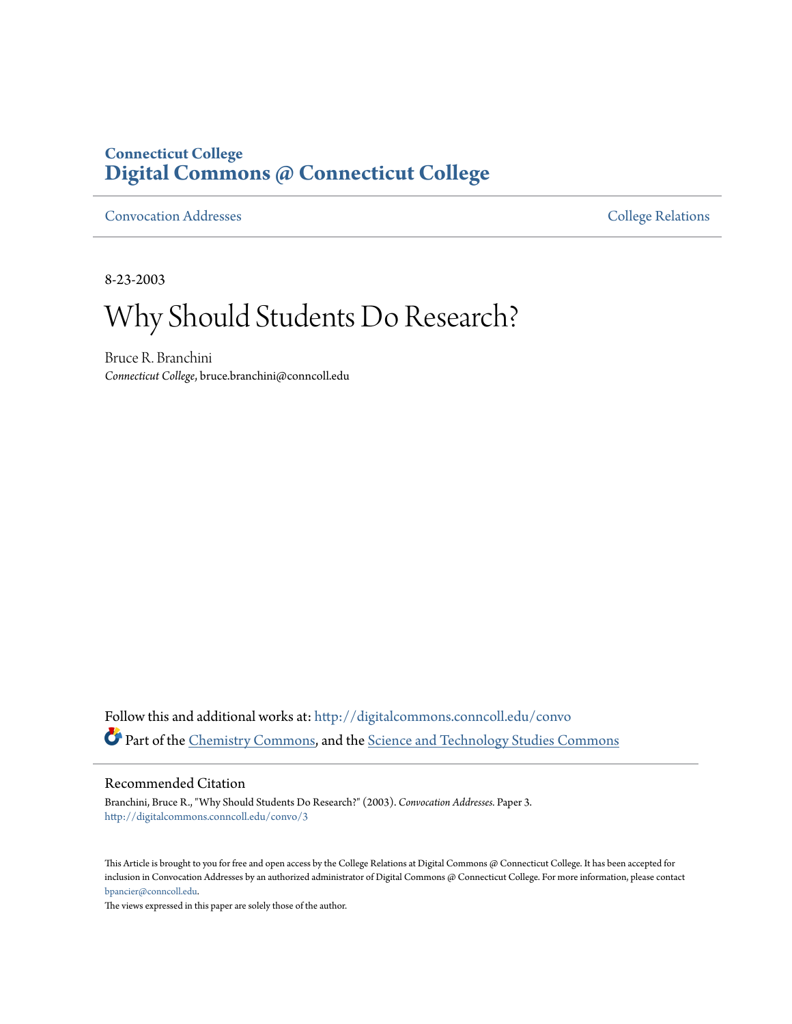### **Connecticut College [Digital Commons @ Connecticut College](http://digitalcommons.conncoll.edu?utm_source=digitalcommons.conncoll.edu%2Fconvo%2F3&utm_medium=PDF&utm_campaign=PDFCoverPages)**

[Convocation Addresses](http://digitalcommons.conncoll.edu/convo?utm_source=digitalcommons.conncoll.edu%2Fconvo%2F3&utm_medium=PDF&utm_campaign=PDFCoverPages) [College Relations](http://digitalcommons.conncoll.edu/collrel?utm_source=digitalcommons.conncoll.edu%2Fconvo%2F3&utm_medium=PDF&utm_campaign=PDFCoverPages)

8-23-2003

# Why Should Students Do Research?

Bruce R. Branchini *Connecticut College*, bruce.branchini@conncoll.edu

Follow this and additional works at: [http://digitalcommons.conncoll.edu/convo](http://digitalcommons.conncoll.edu/convo?utm_source=digitalcommons.conncoll.edu%2Fconvo%2F3&utm_medium=PDF&utm_campaign=PDFCoverPages) Part of the [Chemistry Commons,](http://network.bepress.com/hgg/discipline/131?utm_source=digitalcommons.conncoll.edu%2Fconvo%2F3&utm_medium=PDF&utm_campaign=PDFCoverPages) and the [Science and Technology Studies Commons](http://network.bepress.com/hgg/discipline/435?utm_source=digitalcommons.conncoll.edu%2Fconvo%2F3&utm_medium=PDF&utm_campaign=PDFCoverPages)

#### Recommended Citation

Branchini, Bruce R., "Why Should Students Do Research?" (2003). *Convocation Addresses.* Paper 3. [http://digitalcommons.conncoll.edu/convo/3](http://digitalcommons.conncoll.edu/convo/3?utm_source=digitalcommons.conncoll.edu%2Fconvo%2F3&utm_medium=PDF&utm_campaign=PDFCoverPages)

This Article is brought to you for free and open access by the College Relations at Digital Commons @ Connecticut College. It has been accepted for inclusion in Convocation Addresses by an authorized administrator of Digital Commons @ Connecticut College. For more information, please contact [bpancier@conncoll.edu](mailto:bpancier@conncoll.edu).

The views expressed in this paper are solely those of the author.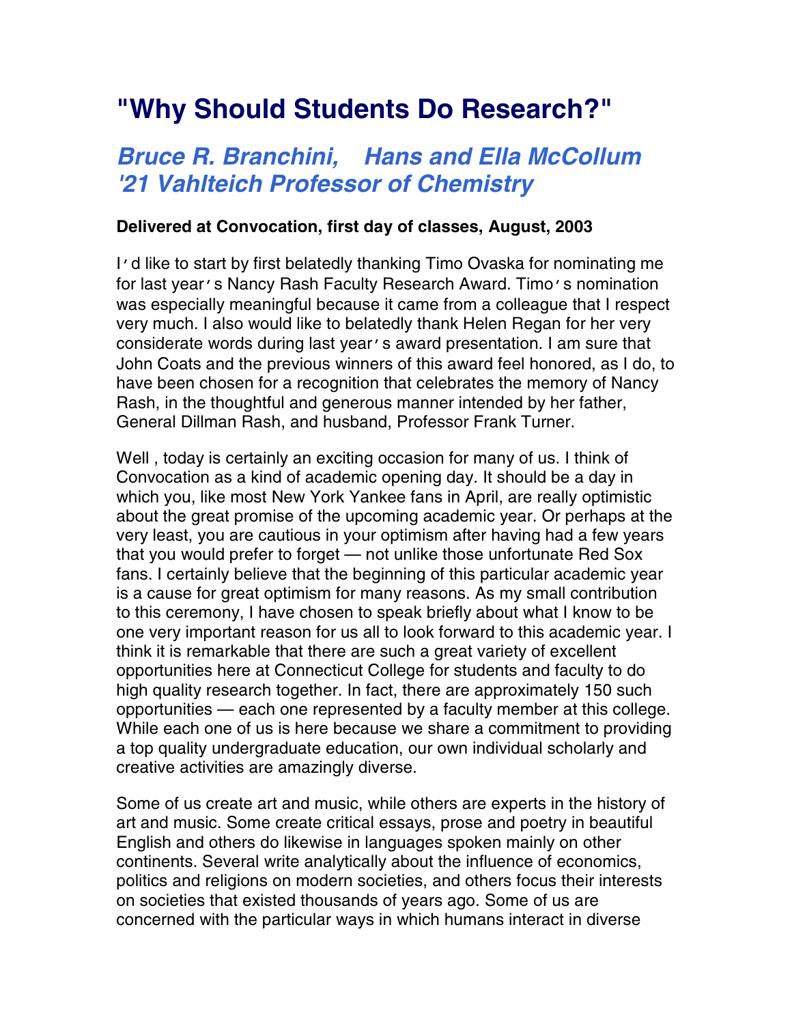## **"Why Should Students Do Research?"**

## **Bruce R. Branchini, Hans and Ella McCollum '21 Vahlteich Professor of Chemistry**

#### **Delivered at Convocation, first day of classes, August, 2003**

I'd like to start by first belatedly thanking Timo Ovaska for nominating me for last year's Nancy Rash Faculty Research Award. Timo's nomination was especially meaningful because it came from a colleague that I respect very much. I also would like to belatedly thank Helen Regan for her very considerate words during last year's award presentation. I am sure that John Coats and the previous winners of this award feel honored, as I do, to have been chosen for a recognition that celebrates the memory of Nancy Rash, in the thoughtful and generous manner intended by her father, General Dillman Rash, and husband, Professor Frank Turner.

Well , today is certainly an exciting occasion for many of us. I think of Convocation as a kind of academic opening day. It should be a day in which you, like most New York Yankee fans in April, are really optimistic about the great promise of the upcoming academic year. Or perhaps at the very least, you are cautious in your optimism after having had a few years that you would prefer to forget — not unlike those unfortunate Red Sox fans. I certainly believe that the beginning of this particular academic year is a cause for great optimism for many reasons. As my small contribution to this ceremony, I have chosen to speak briefly about what I know to be one very important reason for us all to look forward to this academic year. I think it is remarkable that there are such a great variety of excellent opportunities here at Connecticut College for students and faculty to do high quality research together. In fact, there are approximately 150 such opportunities — each one represented by a faculty member at this college. While each one of us is here because we share a commitment to providing a top quality undergraduate education, our own individual scholarly and creative activities are amazingly diverse.

Some of us create art and music, while others are experts in the history of art and music. Some create critical essays, prose and poetry in beautiful English and others do likewise in languages spoken mainly on other continents. Several write analytically about the influence of economics, politics and religions on modern societies, and others focus their interests on societies that existed thousands of years ago. Some of us are concerned with the particular ways in which humans interact in diverse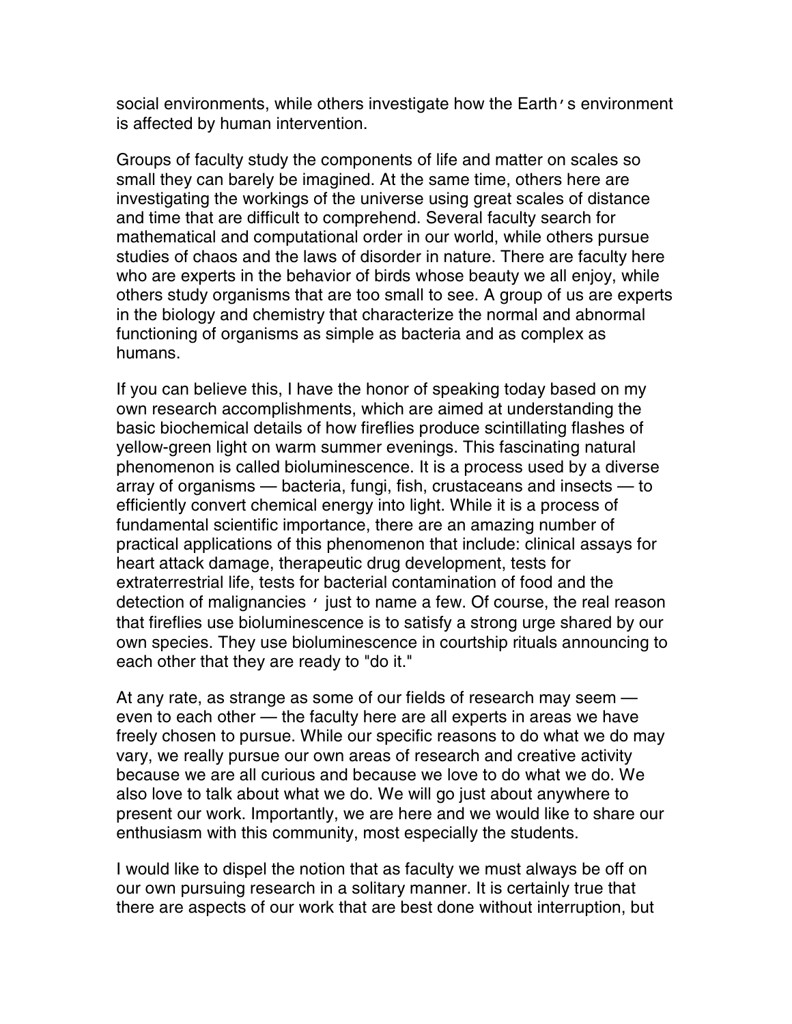social environments, while others investigate how the Earth's environment is affected by human intervention.

Groups of faculty study the components of life and matter on scales so small they can barely be imagined. At the same time, others here are investigating the workings of the universe using great scales of distance and time that are difficult to comprehend. Several faculty search for mathematical and computational order in our world, while others pursue studies of chaos and the laws of disorder in nature. There are faculty here who are experts in the behavior of birds whose beauty we all enjoy, while others study organisms that are too small to see. A group of us are experts in the biology and chemistry that characterize the normal and abnormal functioning of organisms as simple as bacteria and as complex as humans.

If you can believe this, I have the honor of speaking today based on my own research accomplishments, which are aimed at understanding the basic biochemical details of how fireflies produce scintillating flashes of yellow-green light on warm summer evenings. This fascinating natural phenomenon is called bioluminescence. It is a process used by a diverse array of organisms — bacteria, fungi, fish, crustaceans and insects — to efficiently convert chemical energy into light. While it is a process of fundamental scientific importance, there are an amazing number of practical applications of this phenomenon that include: clinical assays for heart attack damage, therapeutic drug development, tests for extraterrestrial life, tests for bacterial contamination of food and the detection of malignancies ' just to name a few. Of course, the real reason that fireflies use bioluminescence is to satisfy a strong urge shared by our own species. They use bioluminescence in courtship rituals announcing to each other that they are ready to "do it."

At any rate, as strange as some of our fields of research may seem even to each other — the faculty here are all experts in areas we have freely chosen to pursue. While our specific reasons to do what we do may vary, we really pursue our own areas of research and creative activity because we are all curious and because we love to do what we do. We also love to talk about what we do. We will go just about anywhere to present our work. Importantly, we are here and we would like to share our enthusiasm with this community, most especially the students.

I would like to dispel the notion that as faculty we must always be off on our own pursuing research in a solitary manner. It is certainly true that there are aspects of our work that are best done without interruption, but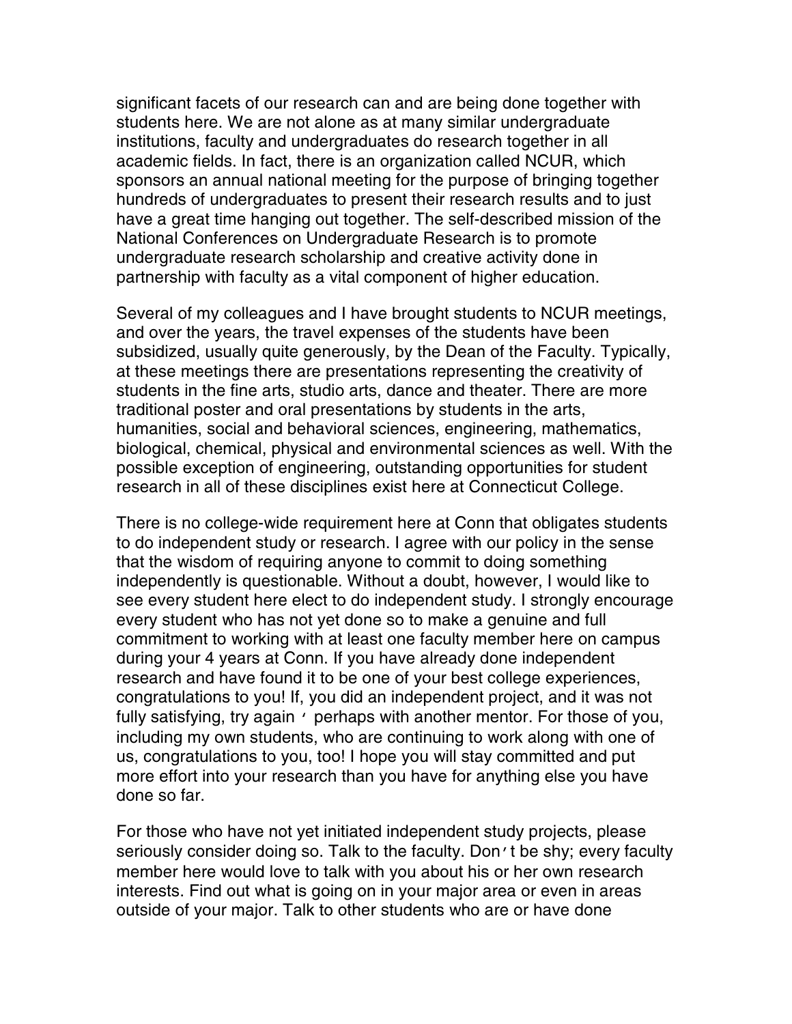significant facets of our research can and are being done together with students here. We are not alone as at many similar undergraduate institutions, faculty and undergraduates do research together in all academic fields. In fact, there is an organization called NCUR, which sponsors an annual national meeting for the purpose of bringing together hundreds of undergraduates to present their research results and to just have a great time hanging out together. The self-described mission of the National Conferences on Undergraduate Research is to promote undergraduate research scholarship and creative activity done in partnership with faculty as a vital component of higher education.

Several of my colleagues and I have brought students to NCUR meetings, and over the years, the travel expenses of the students have been subsidized, usually quite generously, by the Dean of the Faculty. Typically, at these meetings there are presentations representing the creativity of students in the fine arts, studio arts, dance and theater. There are more traditional poster and oral presentations by students in the arts, humanities, social and behavioral sciences, engineering, mathematics, biological, chemical, physical and environmental sciences as well. With the possible exception of engineering, outstanding opportunities for student research in all of these disciplines exist here at Connecticut College.

There is no college-wide requirement here at Conn that obligates students to do independent study or research. I agree with our policy in the sense that the wisdom of requiring anyone to commit to doing something independently is questionable. Without a doubt, however, I would like to see every student here elect to do independent study. I strongly encourage every student who has not yet done so to make a genuine and full commitment to working with at least one faculty member here on campus during your 4 years at Conn. If you have already done independent research and have found it to be one of your best college experiences, congratulations to you! If, you did an independent project, and it was not fully satisfying, try again ' perhaps with another mentor. For those of you, including my own students, who are continuing to work along with one of us, congratulations to you, too! I hope you will stay committed and put more effort into your research than you have for anything else you have done so far.

For those who have not yet initiated independent study projects, please seriously consider doing so. Talk to the faculty. Don't be shy; every faculty member here would love to talk with you about his or her own research interests. Find out what is going on in your major area or even in areas outside of your major. Talk to other students who are or have done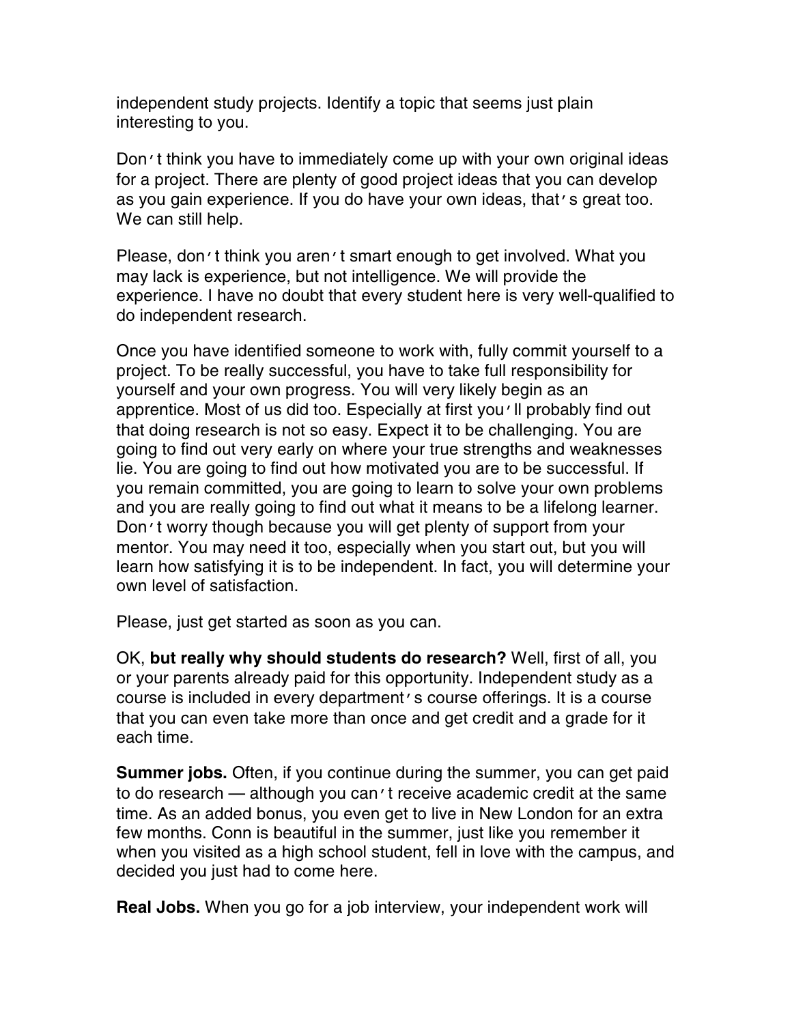independent study projects. Identify a topic that seems just plain interesting to you.

Don't think you have to immediately come up with your own original ideas for a project. There are plenty of good project ideas that you can develop as you gain experience. If you do have your own ideas, that's great too. We can still help.

Please, don't think you aren't smart enough to get involved. What you may lack is experience, but not intelligence. We will provide the experience. I have no doubt that every student here is very well-qualified to do independent research.

Once you have identified someone to work with, fully commit yourself to a project. To be really successful, you have to take full responsibility for yourself and your own progress. You will very likely begin as an apprentice. Most of us did too. Especially at first you'll probably find out that doing research is not so easy. Expect it to be challenging. You are going to find out very early on where your true strengths and weaknesses lie. You are going to find out how motivated you are to be successful. If you remain committed, you are going to learn to solve your own problems and you are really going to find out what it means to be a lifelong learner. Don't worry though because you will get plenty of support from your mentor. You may need it too, especially when you start out, but you will learn how satisfying it is to be independent. In fact, you will determine your own level of satisfaction.

Please, just get started as soon as you can.

OK, **but really why should students do research?** Well, first of all, you or your parents already paid for this opportunity. Independent study as a course is included in every department's course offerings. It is a course that you can even take more than once and get credit and a grade for it each time.

**Summer jobs.** Often, if you continue during the summer, you can get paid to do research — although you can't receive academic credit at the same time. As an added bonus, you even get to live in New London for an extra few months. Conn is beautiful in the summer, just like you remember it when you visited as a high school student, fell in love with the campus, and decided you just had to come here.

**Real Jobs.** When you go for a job interview, your independent work will